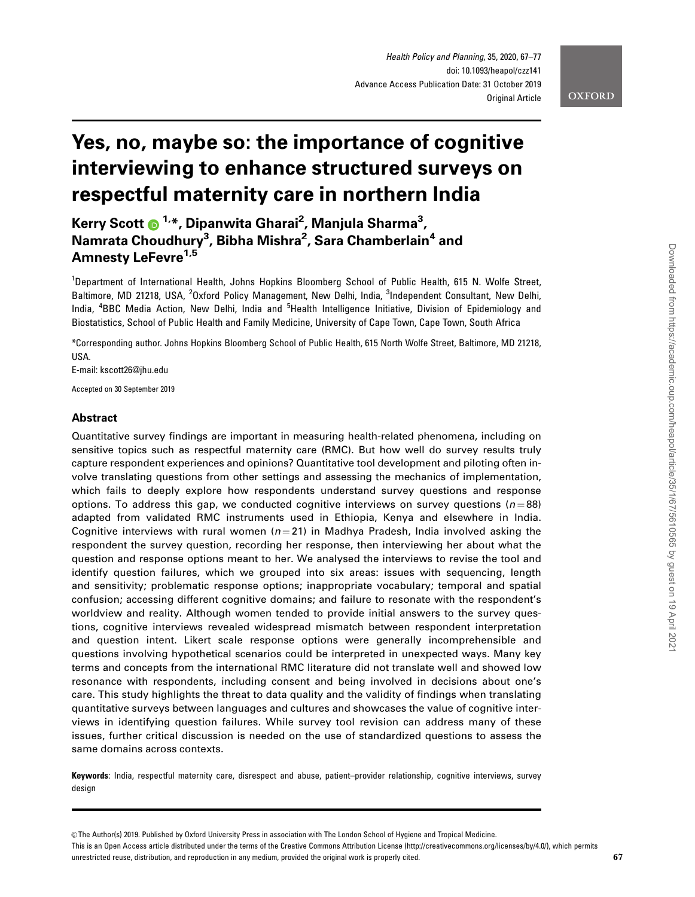# **OXFORD**

# Yes, no, maybe so: the importance of cognitive interviewing to enhance structured surveys on respectful maternity care in northern India

Kerry Scott @ <sup>1,</sup>\*, Dipanwita Gharai<sup>2</sup>, Manjula Sharma<sup>3</sup>, Namrata Choudhury<sup>3</sup>, Bibha Mishra<sup>2</sup>, Sara Chamberlain<sup>4</sup> and Amnesty LeFevre<sup>1,5</sup>

<sup>1</sup>Department of International Health, Johns Hopkins Bloomberg School of Public Health, 615 N. Wolfe Street, Baltimore, MD 21218, USA, <sup>2</sup>Oxford Policy Management, New Delhi, India, <sup>3</sup>Independent Consultant, New Delhi, India, <sup>4</sup>BBC Media Action, New Delhi, India and <sup>5</sup>Health Intelligence Initiative, Division of Epidemiology and Biostatistics, School of Public Health and Family Medicine, University of Cape Town, Cape Town, South Africa

\*Corresponding author. Johns Hopkins Bloomberg School of Public Health, 615 North Wolfe Street, Baltimore, MD 21218, USA.

E-mail: kscott26@jhu.edu

Accepted on 30 September 2019

# Abstract

Quantitative survey findings are important in measuring health-related phenomena, including on sensitive topics such as respectful maternity care (RMC). But how well do survey results truly capture respondent experiences and opinions? Quantitative tool development and piloting often involve translating questions from other settings and assessing the mechanics of implementation, which fails to deeply explore how respondents understand survey questions and response options. To address this gap, we conducted cognitive interviews on survey questions ( $n = 88$ ) adapted from validated RMC instruments used in Ethiopia, Kenya and elsewhere in India. Cognitive interviews with rural women ( $n = 21$ ) in Madhya Pradesh, India involved asking the respondent the survey question, recording her response, then interviewing her about what the question and response options meant to her. We analysed the interviews to revise the tool and identify question failures, which we grouped into six areas: issues with sequencing, length and sensitivity; problematic response options; inappropriate vocabulary; temporal and spatial confusion; accessing different cognitive domains; and failure to resonate with the respondent's worldview and reality. Although women tended to provide initial answers to the survey questions, cognitive interviews revealed widespread mismatch between respondent interpretation and question intent. Likert scale response options were generally incomprehensible and questions involving hypothetical scenarios could be interpreted in unexpected ways. Many key terms and concepts from the international RMC literature did not translate well and showed low resonance with respondents, including consent and being involved in decisions about one's care. This study highlights the threat to data quality and the validity of findings when translating quantitative surveys between languages and cultures and showcases the value of cognitive interviews in identifying question failures. While survey tool revision can address many of these issues, further critical discussion is needed on the use of standardized questions to assess the same domains across contexts.

Keywords: India, respectful maternity care, disrespect and abuse, patient–provider relationship, cognitive interviews, survey design

This is an Open Access article distributed under the terms of the Creative Commons Attribution License (http://creativecommons.org/licenses/by/4.0/), which permits unrestricted reuse, distribution, and reproduction in any medium, provided the original work is properly cited.

<sup>©</sup> The Author(s) 2019. Published by Oxford University Press in association with The London School of Hygiene and Tropical Medicine.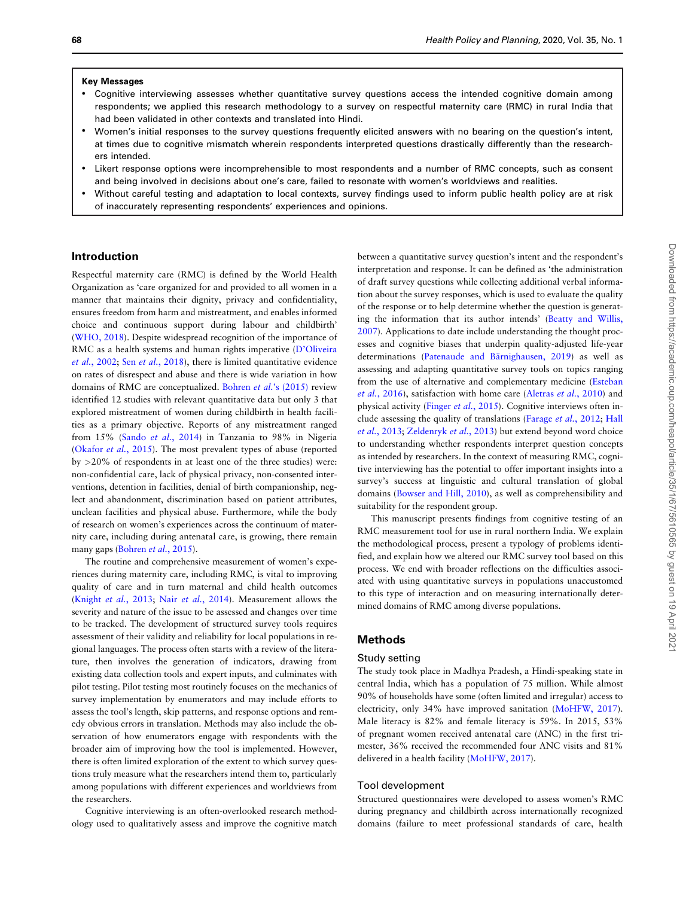#### Key Messages

- Cognitive interviewing assesses whether quantitative survey questions access the intended cognitive domain among respondents; we applied this research methodology to a survey on respectful maternity care (RMC) in rural India that had been validated in other contexts and translated into Hindi.
- Women's initial responses to the survey questions frequently elicited answers with no bearing on the question's intent, at times due to cognitive mismatch wherein respondents interpreted questions drastically differently than the researchers intended.
- Likert response options were incomprehensible to most respondents and a number of RMC concepts, such as consent and being involved in decisions about one's care, failed to resonate with women's worldviews and realities.
- Without careful testing and adaptation to local contexts, survey findings used to inform public health policy are at risk of inaccurately representing respondents' experiences and opinions.

### Introduction

Respectful maternity care (RMC) is defined by the World Health Organization as 'care organized for and provided to all women in a manner that maintains their dignity, privacy and confidentiality, ensures freedom from harm and mistreatment, and enables informed choice and continuous support during labour and childbirth' ([WHO, 2018](#page-10-0)). Despite widespread recognition of the importance of RMC as a health systems and human rights imperative ([D'Oliveira](#page-10-0) et al.[, 2002;](#page-10-0) Sen et al.[, 2018](#page-10-0)), there is limited quantitative evidence on rates of disrespect and abuse and there is wide variation in how domains of RMC are conceptualized. Bohren et al.['s \(2015\)](#page-10-0) review identified 12 studies with relevant quantitative data but only 3 that explored mistreatment of women during childbirth in health facilities as a primary objective. Reports of any mistreatment ranged from 15% (Sando et al.[, 2014](#page-10-0)) in Tanzania to 98% in Nigeria ([Okafor](#page-10-0) et al., 2015). The most prevalent types of abuse (reported by >20% of respondents in at least one of the three studies) were: non-confidential care, lack of physical privacy, non-consented interventions, detention in facilities, denial of birth companionship, neglect and abandonment, discrimination based on patient attributes, unclean facilities and physical abuse. Furthermore, while the body of research on women's experiences across the continuum of maternity care, including during antenatal care, is growing, there remain many gaps [\(Bohren](#page-10-0) et al., 2015).

The routine and comprehensive measurement of women's experiences during maternity care, including RMC, is vital to improving quality of care and in turn maternal and child health outcomes (Knight et al.[, 2013;](#page-10-0) Nair et al.[, 2014\)](#page-10-0). Measurement allows the severity and nature of the issue to be assessed and changes over time to be tracked. The development of structured survey tools requires assessment of their validity and reliability for local populations in regional languages. The process often starts with a review of the literature, then involves the generation of indicators, drawing from existing data collection tools and expert inputs, and culminates with pilot testing. Pilot testing most routinely focuses on the mechanics of survey implementation by enumerators and may include efforts to assess the tool's length, skip patterns, and response options and remedy obvious errors in translation. Methods may also include the observation of how enumerators engage with respondents with the broader aim of improving how the tool is implemented. However, there is often limited exploration of the extent to which survey questions truly measure what the researchers intend them to, particularly among populations with different experiences and worldviews from the researchers.

Cognitive interviewing is an often-overlooked research methodology used to qualitatively assess and improve the cognitive match

between a quantitative survey question's intent and the respondent's interpretation and response. It can be defined as 'the administration of draft survey questions while collecting additional verbal information about the survey responses, which is used to evaluate the quality of the response or to help determine whether the question is generating the information that its author intends' [\(Beatty and Willis,](#page-10-0) [2007\)](#page-10-0). Applications to date include understanding the thought processes and cognitive biases that underpin quality-adjusted life-year determinations (Patenaude and Bärnighausen, 2019) as well as assessing and adapting quantitative survey tools on topics ranging from the use of alternative and complementary medicine [\(Esteban](#page-10-0) et al.[, 2016](#page-10-0)), satisfaction with home care ([Aletras](#page-10-0) et al., 2010) and physical activity (Finger et al.[, 2015](#page-10-0)). Cognitive interviews often include assessing the quality of translations ([Farage](#page-10-0) et al., 2012; [Hall](#page-10-0) et al.[, 2013](#page-10-0); [Zeldenryk](#page-10-0) et al., 2013) but extend beyond word choice to understanding whether respondents interpret question concepts as intended by researchers. In the context of measuring RMC, cognitive interviewing has the potential to offer important insights into a survey's success at linguistic and cultural translation of global domains ([Bowser and Hill, 2010\)](#page-10-0), as well as comprehensibility and suitability for the respondent group.

This manuscript presents findings from cognitive testing of an RMC measurement tool for use in rural northern India. We explain the methodological process, present a typology of problems identified, and explain how we altered our RMC survey tool based on this process. We end with broader reflections on the difficulties associated with using quantitative surveys in populations unaccustomed to this type of interaction and on measuring internationally determined domains of RMC among diverse populations.

## Methods

## Study setting

The study took place in Madhya Pradesh, a Hindi-speaking state in central India, which has a population of 75 million. While almost 90% of households have some (often limited and irregular) access to electricity, only 34% have improved sanitation [\(MoHFW, 2017](#page-10-0)). Male literacy is 82% and female literacy is 59%. In 2015, 53% of pregnant women received antenatal care (ANC) in the first trimester, 36% received the recommended four ANC visits and 81% delivered in a health facility [\(MoHFW, 2017\)](#page-10-0).

## Tool development

Structured questionnaires were developed to assess women's RMC during pregnancy and childbirth across internationally recognized domains (failure to meet professional standards of care, health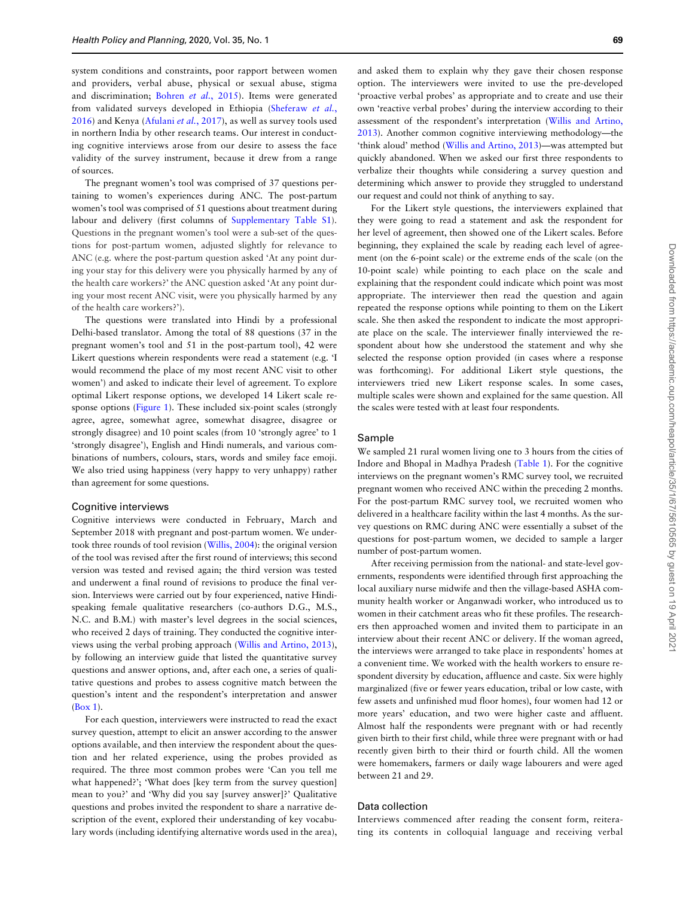system conditions and constraints, poor rapport between women and providers, verbal abuse, physical or sexual abuse, stigma and discrimination; [Bohren](#page-10-0) et al., 2015). Items were generated from validated surveys developed in Ethiopia ([Sheferaw](#page-10-0) et al., [2016](#page-10-0)) and Kenya ([Afulani](#page-10-0) et al., 2017), as well as survey tools used in northern India by other research teams. Our interest in conducting cognitive interviews arose from our desire to assess the face validity of the survey instrument, because it drew from a range of sources.

The pregnant women's tool was comprised of 37 questions pertaining to women's experiences during ANC. The post-partum women's tool was comprised of 51 questions about treatment during labour and delivery (first columns of [Supplementary Table S1](https://academic.oup.com/heapol/article-lookup/doi/10.1093/heapol/czz141#supplementary-data)). Questions in the pregnant women's tool were a sub-set of the questions for post-partum women, adjusted slightly for relevance to ANC (e.g. where the post-partum question asked 'At any point during your stay for this delivery were you physically harmed by any of the health care workers?' the ANC question asked 'At any point during your most recent ANC visit, were you physically harmed by any of the health care workers?').

The questions were translated into Hindi by a professional Delhi-based translator. Among the total of 88 questions (37 in the pregnant women's tool and 51 in the post-partum tool), 42 were Likert questions wherein respondents were read a statement (e.g. 'I would recommend the place of my most recent ANC visit to other women') and asked to indicate their level of agreement. To explore optimal Likert response options, we developed 14 Likert scale response options ([Figure 1\)](#page-3-0). These included six-point scales (strongly agree, agree, somewhat agree, somewhat disagree, disagree or strongly disagree) and 10 point scales (from 10 'strongly agree' to 1 'strongly disagree'), English and Hindi numerals, and various combinations of numbers, colours, stars, words and smiley face emoji. We also tried using happiness (very happy to very unhappy) rather than agreement for some questions.

#### Cognitive interviews

Cognitive interviews were conducted in February, March and September 2018 with pregnant and post-partum women. We undertook three rounds of tool revision [\(Willis, 2004](#page-10-0)): the original version of the tool was revised after the first round of interviews; this second version was tested and revised again; the third version was tested and underwent a final round of revisions to produce the final version. Interviews were carried out by four experienced, native Hindispeaking female qualitative researchers (co-authors D.G., M.S., N.C. and B.M.) with master's level degrees in the social sciences, who received 2 days of training. They conducted the cognitive interviews using the verbal probing approach [\(Willis and Artino, 2013](#page-10-0)), by following an interview guide that listed the quantitative survey questions and answer options, and, after each one, a series of qualitative questions and probes to assess cognitive match between the question's intent and the respondent's interpretation and answer (Box 1).

For each question, interviewers were instructed to read the exact survey question, attempt to elicit an answer according to the answer options available, and then interview the respondent about the question and her related experience, using the probes provided as required. The three most common probes were 'Can you tell me what happened?'; 'What does [key term from the survey question] mean to you?' and 'Why did you say [survey answer]?' Qualitative questions and probes invited the respondent to share a narrative description of the event, explored their understanding of key vocabulary words (including identifying alternative words used in the area),

and asked them to explain why they gave their chosen response option. The interviewers were invited to use the pre-developed 'proactive verbal probes' as appropriate and to create and use their own 'reactive verbal probes' during the interview according to their assessment of the respondent's interpretation [\(Willis and Artino,](#page-10-0) [2013\)](#page-10-0). Another common cognitive interviewing methodology—the 'think aloud' method ([Willis and Artino, 2013\)](#page-10-0)—was attempted but quickly abandoned. When we asked our first three respondents to verbalize their thoughts while considering a survey question and determining which answer to provide they struggled to understand our request and could not think of anything to say.

For the Likert style questions, the interviewers explained that they were going to read a statement and ask the respondent for her level of agreement, then showed one of the Likert scales. Before beginning, they explained the scale by reading each level of agreement (on the 6-point scale) or the extreme ends of the scale (on the 10-point scale) while pointing to each place on the scale and explaining that the respondent could indicate which point was most appropriate. The interviewer then read the question and again repeated the response options while pointing to them on the Likert scale. She then asked the respondent to indicate the most appropriate place on the scale. The interviewer finally interviewed the respondent about how she understood the statement and why she selected the response option provided (in cases where a response was forthcoming). For additional Likert style questions, the interviewers tried new Likert response scales. In some cases, multiple scales were shown and explained for the same question. All the scales were tested with at least four respondents.

#### Sample

We sampled 21 rural women living one to 3 hours from the cities of Indore and Bhopal in Madhya Pradesh ([Table 1\)](#page-4-0). For the cognitive interviews on the pregnant women's RMC survey tool, we recruited pregnant women who received ANC within the preceding 2 months. For the post-partum RMC survey tool, we recruited women who delivered in a healthcare facility within the last 4 months. As the survey questions on RMC during ANC were essentially a subset of the questions for post-partum women, we decided to sample a larger number of post-partum women.

After receiving permission from the national- and state-level governments, respondents were identified through first approaching the local auxiliary nurse midwife and then the village-based ASHA community health worker or Anganwadi worker, who introduced us to women in their catchment areas who fit these profiles. The researchers then approached women and invited them to participate in an interview about their recent ANC or delivery. If the woman agreed, the interviews were arranged to take place in respondents' homes at a convenient time. We worked with the health workers to ensure respondent diversity by education, affluence and caste. Six were highly marginalized (five or fewer years education, tribal or low caste, with few assets and unfinished mud floor homes), four women had 12 or more years' education, and two were higher caste and affluent. Almost half the respondents were pregnant with or had recently given birth to their first child, while three were pregnant with or had recently given birth to their third or fourth child. All the women were homemakers, farmers or daily wage labourers and were aged between 21 and 29.

# Data collection

Interviews commenced after reading the consent form, reiterating its contents in colloquial language and receiving verbal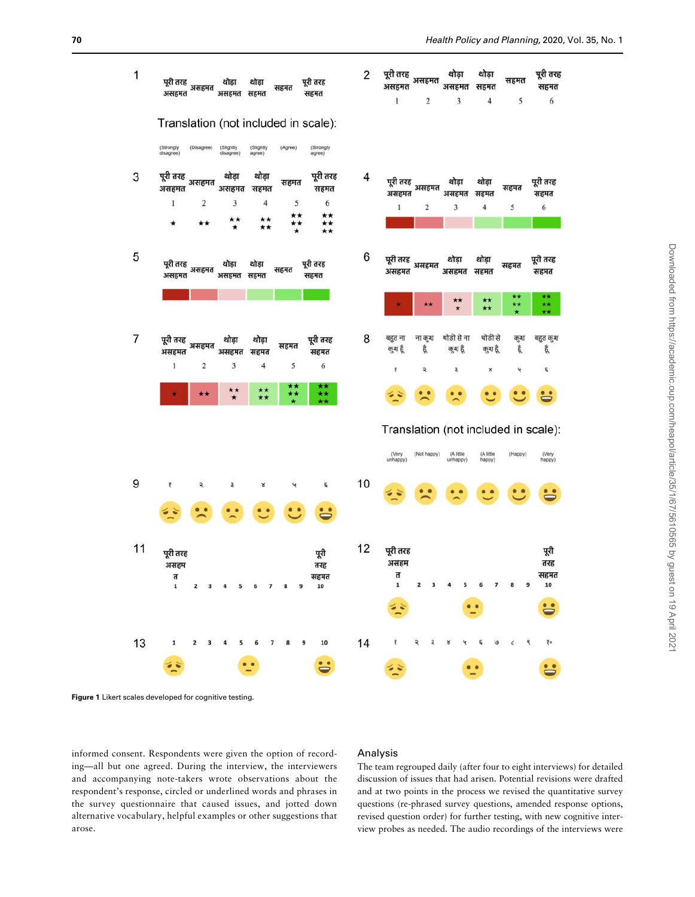<span id="page-3-0"></span>

Figure 1 Likert scales developed for cognitive testing.

informed consent. Respondents were given the option of recording—all but one agreed. During the interview, the interviewers and accompanying note-takers wrote observations about the respondent's response, circled or underlined words and phrases in the survey questionnaire that caused issues, and jotted down alternative vocabulary, helpful examples or other suggestions that arose.

## Analysis

The team regrouped daily (after four to eight interviews) for detailed discussion of issues that had arisen. Potential revisions were drafted and at two points in the process we revised the quantitative survey questions (re-phrased survey questions, amended response options, revised question order) for further testing, with new cognitive interview probes as needed. The audio recordings of the interviews were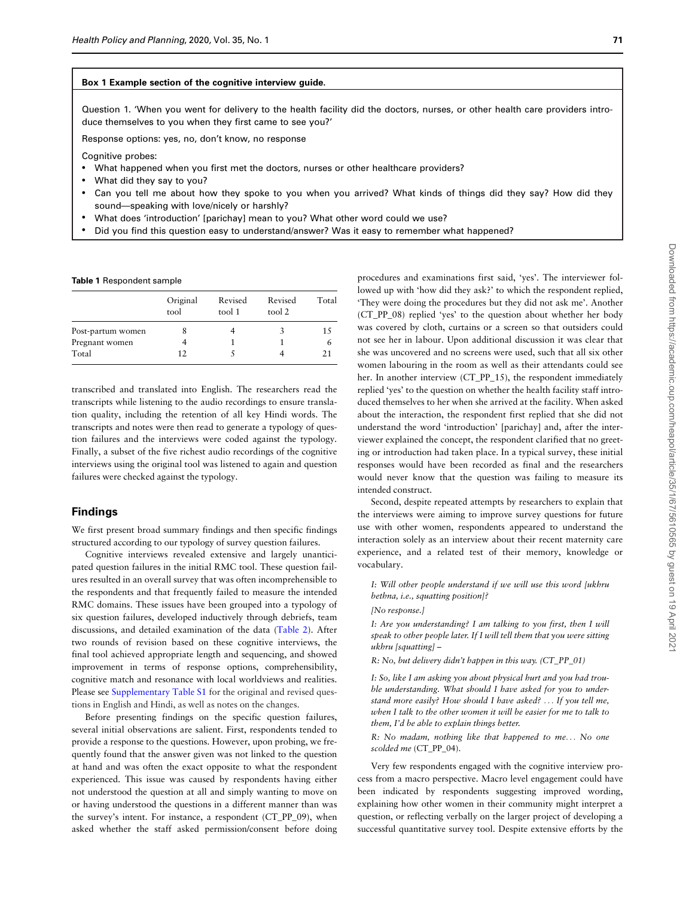#### <span id="page-4-0"></span>Box 1 Example section of the cognitive interview guide.

Question 1. 'When you went for delivery to the health facility did the doctors, nurses, or other health care providers introduce themselves to you when they first came to see you?'

Response options: yes, no, don't know, no response

Cognitive probes:

- What happened when you first met the doctors, nurses or other healthcare providers?
- What did they say to you?
- Can you tell me about how they spoke to you when you arrived? What kinds of things did they say? How did they sound—speaking with love/nicely or harshly?
- What does 'introduction' [parichay] mean to you? What other word could we use?
- Did you find this question easy to understand/answer? Was it easy to remember what happened?

#### Table 1 Respondent sample

|                   | Original<br>tool | Revised<br>tool 1 | Revised<br>tool 2 | Total |
|-------------------|------------------|-------------------|-------------------|-------|
| Post-partum women |                  |                   |                   | 15    |
| Pregnant women    |                  |                   |                   | 6     |
| Total             | 12               |                   |                   | 21    |

transcribed and translated into English. The researchers read the transcripts while listening to the audio recordings to ensure translation quality, including the retention of all key Hindi words. The transcripts and notes were then read to generate a typology of question failures and the interviews were coded against the typology. Finally, a subset of the five richest audio recordings of the cognitive interviews using the original tool was listened to again and question failures were checked against the typology.

## Findings

We first present broad summary findings and then specific findings structured according to our typology of survey question failures.

Cognitive interviews revealed extensive and largely unanticipated question failures in the initial RMC tool. These question failures resulted in an overall survey that was often incomprehensible to the respondents and that frequently failed to measure the intended RMC domains. These issues have been grouped into a typology of six question failures, developed inductively through debriefs, team discussions, and detailed examination of the data [\(Table 2](#page-5-0)). After two rounds of revision based on these cognitive interviews, the final tool achieved appropriate length and sequencing, and showed improvement in terms of response options, comprehensibility, cognitive match and resonance with local worldviews and realities. Please see [Supplementary Table S1](https://academic.oup.com/heapol/article-lookup/doi/10.1093/heapol/czz141#supplementary-data) for the original and revised questions in English and Hindi, as well as notes on the changes.

Before presenting findings on the specific question failures, several initial observations are salient. First, respondents tended to provide a response to the questions. However, upon probing, we frequently found that the answer given was not linked to the question at hand and was often the exact opposite to what the respondent experienced. This issue was caused by respondents having either not understood the question at all and simply wanting to move on or having understood the questions in a different manner than was the survey's intent. For instance, a respondent (CT\_PP\_09), when asked whether the staff asked permission/consent before doing

procedures and examinations first said, 'yes'. The interviewer followed up with 'how did they ask?' to which the respondent replied, 'They were doing the procedures but they did not ask me'. Another (CT\_PP\_08) replied 'yes' to the question about whether her body was covered by cloth, curtains or a screen so that outsiders could not see her in labour. Upon additional discussion it was clear that she was uncovered and no screens were used, such that all six other women labouring in the room as well as their attendants could see her. In another interview (CT\_PP\_15), the respondent immediately replied 'yes' to the question on whether the health facility staff introduced themselves to her when she arrived at the facility. When asked about the interaction, the respondent first replied that she did not understand the word 'introduction' [parichay] and, after the interviewer explained the concept, the respondent clarified that no greeting or introduction had taken place. In a typical survey, these initial responses would have been recorded as final and the researchers would never know that the question was failing to measure its intended construct.

Second, despite repeated attempts by researchers to explain that the interviews were aiming to improve survey questions for future use with other women, respondents appeared to understand the interaction solely as an interview about their recent maternity care experience, and a related test of their memory, knowledge or vocabulary.

I: Will other people understand if we will use this word [ukhru bethna, i.e., squatting position]?

[No response.]

I: Are you understanding? I am talking to you first, then I will speak to other people later. If I will tell them that you were sitting ukhru [squatting] –

R: No, but delivery didn't happen in this way. (CT\_PP\_01)

I: So, like I am asking you about physical hurt and you had trouble understanding. What should I have asked for you to understand more easily? How should I have asked? ... If you tell me, when I talk to the other women it will be easier for me to talk to them, I'd be able to explain things better.

R: No madam, nothing like that happened to me... No one scolded me (CT\_PP\_04).

Very few respondents engaged with the cognitive interview process from a macro perspective. Macro level engagement could have been indicated by respondents suggesting improved wording, explaining how other women in their community might interpret a question, or reflecting verbally on the larger project of developing a successful quantitative survey tool. Despite extensive efforts by the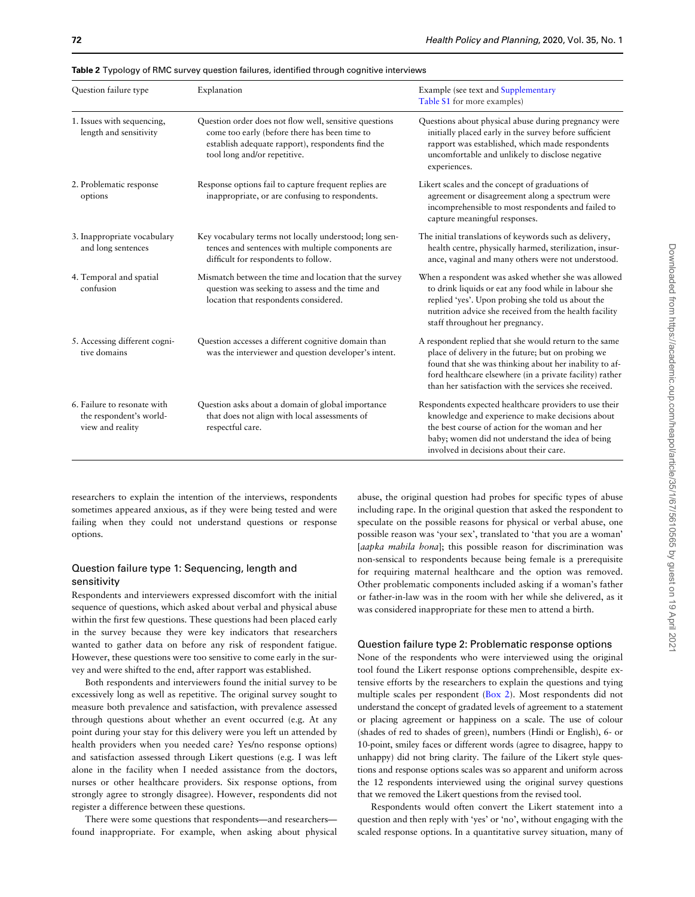| Question failure type                                                      | Explanation                                                                                                                                                                                  | Example (see text and Supplementary<br>Table S1 for more examples)                                                                                                                                                                                                                          |
|----------------------------------------------------------------------------|----------------------------------------------------------------------------------------------------------------------------------------------------------------------------------------------|---------------------------------------------------------------------------------------------------------------------------------------------------------------------------------------------------------------------------------------------------------------------------------------------|
| 1. Issues with sequencing,<br>length and sensitivity                       | Question order does not flow well, sensitive questions<br>come too early (before there has been time to<br>establish adequate rapport), respondents find the<br>tool long and/or repetitive. | Questions about physical abuse during pregnancy were<br>initially placed early in the survey before sufficient<br>rapport was established, which made respondents<br>uncomfortable and unlikely to disclose negative<br>experiences.                                                        |
| 2. Problematic response<br>options                                         | Response options fail to capture frequent replies are<br>inappropriate, or are confusing to respondents.                                                                                     | Likert scales and the concept of graduations of<br>agreement or disagreement along a spectrum were<br>incomprehensible to most respondents and failed to<br>capture meaningful responses.                                                                                                   |
| 3. Inappropriate vocabulary<br>and long sentences                          | Key vocabulary terms not locally understood; long sen-<br>tences and sentences with multiple components are<br>difficult for respondents to follow.                                          | The initial translations of keywords such as delivery,<br>health centre, physically harmed, sterilization, insur-<br>ance, vaginal and many others were not understood.                                                                                                                     |
| 4. Temporal and spatial<br>confusion                                       | Mismatch between the time and location that the survey<br>question was seeking to assess and the time and<br>location that respondents considered.                                           | When a respondent was asked whether she was allowed<br>to drink liquids or eat any food while in labour she<br>replied 'yes'. Upon probing she told us about the<br>nutrition advice she received from the health facility<br>staff throughout her pregnancy.                               |
| 5. Accessing different cogni-<br>tive domains                              | Question accesses a different cognitive domain than<br>was the interviewer and question developer's intent.                                                                                  | A respondent replied that she would return to the same<br>place of delivery in the future; but on probing we<br>found that she was thinking about her inability to af-<br>ford healthcare elsewhere (in a private facility) rather<br>than her satisfaction with the services she received. |
| 6. Failure to resonate with<br>the respondent's world-<br>view and reality | Question asks about a domain of global importance<br>that does not align with local assessments of<br>respectful care.                                                                       | Respondents expected healthcare providers to use their<br>knowledge and experience to make decisions about<br>the best course of action for the woman and her<br>baby; women did not understand the idea of being<br>involved in decisions about their care.                                |

<span id="page-5-0"></span>Table 2 Typology of RMC survey question failures, identified through cognitive interviews

researchers to explain the intention of the interviews, respondents sometimes appeared anxious, as if they were being tested and were failing when they could not understand questions or response options.

# Question failure type 1: Sequencing, length and sensitivity

Respondents and interviewers expressed discomfort with the initial sequence of questions, which asked about verbal and physical abuse within the first few questions. These questions had been placed early in the survey because they were key indicators that researchers wanted to gather data on before any risk of respondent fatigue. However, these questions were too sensitive to come early in the survey and were shifted to the end, after rapport was established.

Both respondents and interviewers found the initial survey to be excessively long as well as repetitive. The original survey sought to measure both prevalence and satisfaction, with prevalence assessed through questions about whether an event occurred (e.g. At any point during your stay for this delivery were you left un attended by health providers when you needed care? Yes/no response options) and satisfaction assessed through Likert questions (e.g. I was left alone in the facility when I needed assistance from the doctors, nurses or other healthcare providers. Six response options, from strongly agree to strongly disagree). However, respondents did not register a difference between these questions.

There were some questions that respondents—and researchers found inappropriate. For example, when asking about physical abuse, the original question had probes for specific types of abuse including rape. In the original question that asked the respondent to speculate on the possible reasons for physical or verbal abuse, one possible reason was 'your sex', translated to 'that you are a woman' [aapka mahila hona]; this possible reason for discrimination was non-sensical to respondents because being female is a prerequisite for requiring maternal healthcare and the option was removed. Other problematic components included asking if a woman's father or father-in-law was in the room with her while she delivered, as it was considered inappropriate for these men to attend a birth.

### Question failure type 2: Problematic response options

None of the respondents who were interviewed using the original tool found the Likert response options comprehensible, despite extensive efforts by the researchers to explain the questions and tying multiple scales per respondent ([Box 2](#page-4-0)). Most respondents did not understand the concept of gradated levels of agreement to a statement or placing agreement or happiness on a scale. The use of colour (shades of red to shades of green), numbers (Hindi or English), 6- or 10-point, smiley faces or different words (agree to disagree, happy to unhappy) did not bring clarity. The failure of the Likert style questions and response options scales was so apparent and uniform across the 12 respondents interviewed using the original survey questions that we removed the Likert questions from the revised tool.

Respondents would often convert the Likert statement into a question and then reply with 'yes' or 'no', without engaging with the scaled response options. In a quantitative survey situation, many of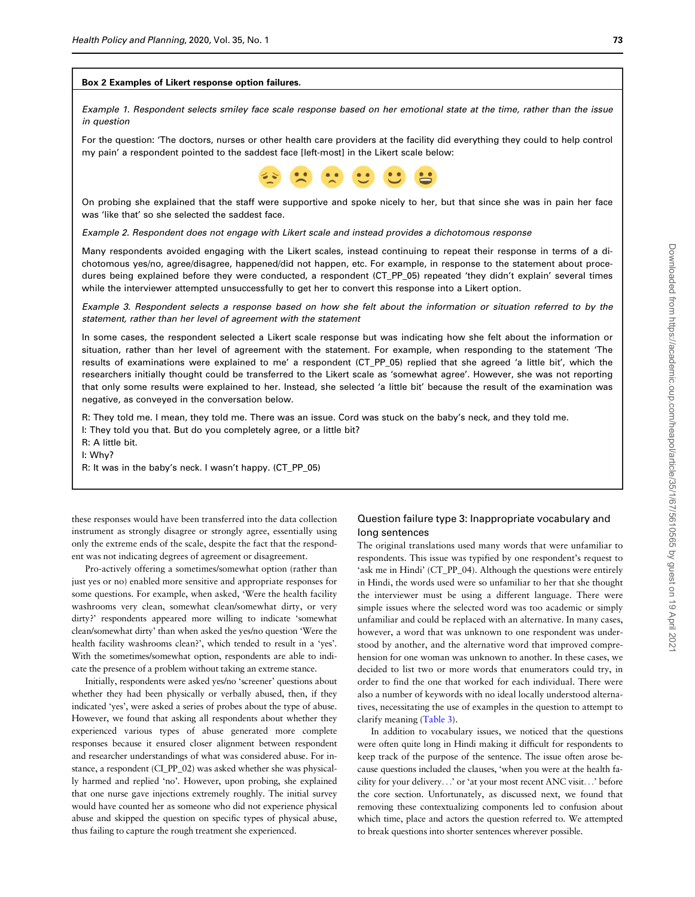#### Box 2 Examples of Likert response option failures.

Example 1. Respondent selects smiley face scale response based on her emotional state at the time, rather than the issue in question

For the question: 'The doctors, nurses or other health care providers at the facility did everything they could to help control my pain' a respondent pointed to the saddest face [left-most] in the Likert scale below:



On probing she explained that the staff were supportive and spoke nicely to her, but that since she was in pain her face was 'like that' so she selected the saddest face.

Example 2. Respondent does not engage with Likert scale and instead provides a dichotomous response

Many respondents avoided engaging with the Likert scales, instead continuing to repeat their response in terms of a dichotomous yes/no, agree/disagree, happened/did not happen, etc. For example, in response to the statement about procedures being explained before they were conducted, a respondent (CT\_PP\_05) repeated 'they didn't explain' several times while the interviewer attempted unsuccessfully to get her to convert this response into a Likert option.

Example 3. Respondent selects a response based on how she felt about the information or situation referred to by the statement, rather than her level of agreement with the statement

In some cases, the respondent selected a Likert scale response but was indicating how she felt about the information or situation, rather than her level of agreement with the statement. For example, when responding to the statement 'The results of examinations were explained to me' a respondent (CT\_PP\_05) replied that she agreed 'a little bit', which the researchers initially thought could be transferred to the Likert scale as 'somewhat agree'. However, she was not reporting that only some results were explained to her. Instead, she selected 'a little bit' because the result of the examination was negative, as conveyed in the conversation below.

R: They told me. I mean, they told me. There was an issue. Cord was stuck on the baby's neck, and they told me.

I: They told you that. But do you completely agree, or a little bit?

R: A little bit.

I: Why?

R: It was in the baby's neck. I wasn't happy. (CT\_PP\_05)

these responses would have been transferred into the data collection instrument as strongly disagree or strongly agree, essentially using only the extreme ends of the scale, despite the fact that the respondent was not indicating degrees of agreement or disagreement.

Pro-actively offering a sometimes/somewhat option (rather than just yes or no) enabled more sensitive and appropriate responses for some questions. For example, when asked, 'Were the health facility washrooms very clean, somewhat clean/somewhat dirty, or very dirty?' respondents appeared more willing to indicate 'somewhat clean/somewhat dirty' than when asked the yes/no question 'Were the health facility washrooms clean?', which tended to result in a 'yes'. With the sometimes/somewhat option, respondents are able to indicate the presence of a problem without taking an extreme stance.

Initially, respondents were asked yes/no 'screener' questions about whether they had been physically or verbally abused, then, if they indicated 'yes', were asked a series of probes about the type of abuse. However, we found that asking all respondents about whether they experienced various types of abuse generated more complete responses because it ensured closer alignment between respondent and researcher understandings of what was considered abuse. For instance, a respondent (CI\_PP\_02) was asked whether she was physically harmed and replied 'no'. However, upon probing, she explained that one nurse gave injections extremely roughly. The initial survey would have counted her as someone who did not experience physical abuse and skipped the question on specific types of physical abuse, thus failing to capture the rough treatment she experienced.

# Question failure type 3: Inappropriate vocabulary and long sentences

The original translations used many words that were unfamiliar to respondents. This issue was typified by one respondent's request to 'ask me in Hindi' (CT\_PP\_04). Although the questions were entirely in Hindi, the words used were so unfamiliar to her that she thought the interviewer must be using a different language. There were simple issues where the selected word was too academic or simply unfamiliar and could be replaced with an alternative. In many cases, however, a word that was unknown to one respondent was understood by another, and the alternative word that improved comprehension for one woman was unknown to another. In these cases, we decided to list two or more words that enumerators could try, in order to find the one that worked for each individual. There were also a number of keywords with no ideal locally understood alternatives, necessitating the use of examples in the question to attempt to clarify meaning ([Table 3\)](#page-7-0).

In addition to vocabulary issues, we noticed that the questions were often quite long in Hindi making it difficult for respondents to keep track of the purpose of the sentence. The issue often arose because questions included the clauses, 'when you were at the health facility for your delivery...' or 'at your most recent ANC visit...' before the core section. Unfortunately, as discussed next, we found that removing these contextualizing components led to confusion about which time, place and actors the question referred to. We attempted to break questions into shorter sentences wherever possible.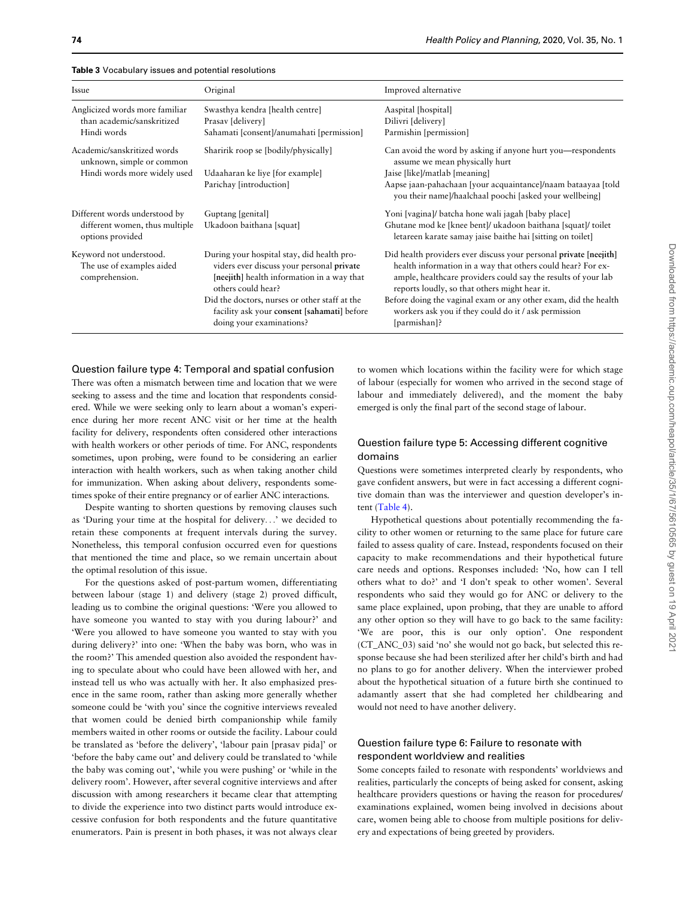| Issue                                                                  | Original                                                                                                                                                    | Improved alternative                                                                                                                                                                                                                               |
|------------------------------------------------------------------------|-------------------------------------------------------------------------------------------------------------------------------------------------------------|----------------------------------------------------------------------------------------------------------------------------------------------------------------------------------------------------------------------------------------------------|
| Anglicized words more familiar<br>than academic/sanskritized           | Swasthya kendra [health centre]<br>Prasav [delivery]                                                                                                        | Aaspital [hospital]<br>Dilivri [delivery]                                                                                                                                                                                                          |
| Hindi words                                                            | Sahamati [consent]/anumahati [permission]                                                                                                                   | Parmishin [permission]                                                                                                                                                                                                                             |
| Academic/sanskritized words<br>unknown, simple or common               | Sharirik roop se [bodily/physically]                                                                                                                        | Can avoid the word by asking if anyone hurt you—respondents<br>assume we mean physically hurt                                                                                                                                                      |
| Hindi words more widely used                                           | Udaaharan ke liye [for example]                                                                                                                             | Jaise [like]/matlab [meaning]                                                                                                                                                                                                                      |
|                                                                        | Parichay [introduction]                                                                                                                                     | Aapse jaan-pahachaan [your acquaintance]/naam bataayaa [told]<br>you their name]/haalchaal poochi [asked your wellbeing]                                                                                                                           |
| Different words understood by                                          | Guptang [genital]                                                                                                                                           | Yoni [vagina]/ batcha hone wali jagah [baby place]                                                                                                                                                                                                 |
| different women, thus multiple<br>options provided                     | Ukadoon baithana [squat]                                                                                                                                    | Ghutane mod ke [knee bent]/ ukadoon baithana [squat]/ toilet<br>letareen karate samay jaise baithe hai [sitting on toilet]                                                                                                                         |
| Keyword not understood.<br>The use of examples aided<br>comprehension. | During your hospital stay, did health pro-<br>viders ever discuss your personal private<br>[neejith] health information in a way that<br>others could hear? | Did health providers ever discuss your personal private [neejith]<br>health information in a way that others could hear? For ex-<br>ample, healthcare providers could say the results of your lab<br>reports loudly, so that others might hear it. |
|                                                                        | Did the doctors, nurses or other staff at the<br>facility ask your consent [sahamati] before<br>doing your examinations?                                    | Before doing the vaginal exam or any other exam, did the health<br>workers ask you if they could do it / ask permission<br>[parmishan]?                                                                                                            |

<span id="page-7-0"></span>Table 3 Vocabulary issues and potential resolutions

## Question failure type 4: Temporal and spatial confusion

There was often a mismatch between time and location that we were seeking to assess and the time and location that respondents considered. While we were seeking only to learn about a woman's experience during her more recent ANC visit or her time at the health facility for delivery, respondents often considered other interactions with health workers or other periods of time. For ANC, respondents sometimes, upon probing, were found to be considering an earlier interaction with health workers, such as when taking another child for immunization. When asking about delivery, respondents sometimes spoke of their entire pregnancy or of earlier ANC interactions.

Despite wanting to shorten questions by removing clauses such as 'During your time at the hospital for delivery...' we decided to retain these components at frequent intervals during the survey. Nonetheless, this temporal confusion occurred even for questions that mentioned the time and place, so we remain uncertain about the optimal resolution of this issue.

For the questions asked of post-partum women, differentiating between labour (stage 1) and delivery (stage 2) proved difficult, leading us to combine the original questions: 'Were you allowed to have someone you wanted to stay with you during labour?' and 'Were you allowed to have someone you wanted to stay with you during delivery?' into one: 'When the baby was born, who was in the room?' This amended question also avoided the respondent having to speculate about who could have been allowed with her, and instead tell us who was actually with her. It also emphasized presence in the same room, rather than asking more generally whether someone could be 'with you' since the cognitive interviews revealed that women could be denied birth companionship while family members waited in other rooms or outside the facility. Labour could be translated as 'before the delivery', 'labour pain [prasav pida]' or 'before the baby came out' and delivery could be translated to 'while the baby was coming out', 'while you were pushing' or 'while in the delivery room'. However, after several cognitive interviews and after discussion with among researchers it became clear that attempting to divide the experience into two distinct parts would introduce excessive confusion for both respondents and the future quantitative enumerators. Pain is present in both phases, it was not always clear

to women which locations within the facility were for which stage of labour (especially for women who arrived in the second stage of labour and immediately delivered), and the moment the baby emerged is only the final part of the second stage of labour.

# Question failure type 5: Accessing different cognitive domains

Questions were sometimes interpreted clearly by respondents, who gave confident answers, but were in fact accessing a different cognitive domain than was the interviewer and question developer's intent [\(Table 4](#page-8-0)).

Hypothetical questions about potentially recommending the facility to other women or returning to the same place for future care failed to assess quality of care. Instead, respondents focused on their capacity to make recommendations and their hypothetical future care needs and options. Responses included: 'No, how can I tell others what to do?' and 'I don't speak to other women'. Several respondents who said they would go for ANC or delivery to the same place explained, upon probing, that they are unable to afford any other option so they will have to go back to the same facility: 'We are poor, this is our only option'. One respondent (CT\_ANC\_03) said 'no' she would not go back, but selected this response because she had been sterilized after her child's birth and had no plans to go for another delivery. When the interviewer probed about the hypothetical situation of a future birth she continued to adamantly assert that she had completed her childbearing and would not need to have another delivery.

# Question failure type 6: Failure to resonate with respondent worldview and realities

Some concepts failed to resonate with respondents' worldviews and realities, particularly the concepts of being asked for consent, asking healthcare providers questions or having the reason for procedures/ examinations explained, women being involved in decisions about care, women being able to choose from multiple positions for delivery and expectations of being greeted by providers.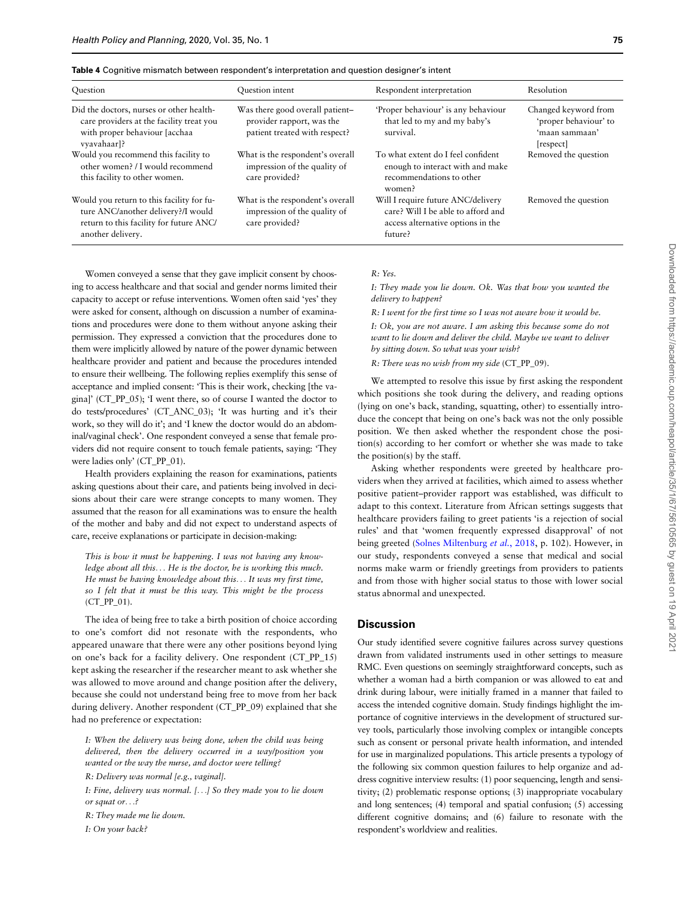<span id="page-8-0"></span>

|  |  |  | Table 4 Cognitive mismatch between respondent's interpretation and question designer's intent |
|--|--|--|-----------------------------------------------------------------------------------------------|
|--|--|--|-----------------------------------------------------------------------------------------------|

| Question                                                                                                                                        | Question intent                                                                               | Respondent interpretation                                                                                                | Resolution                                                                   |
|-------------------------------------------------------------------------------------------------------------------------------------------------|-----------------------------------------------------------------------------------------------|--------------------------------------------------------------------------------------------------------------------------|------------------------------------------------------------------------------|
| Did the doctors, nurses or other health-<br>care providers at the facility treat you<br>with proper behaviour [acchaa<br>vyavahaar]?            | Was there good overall patient-<br>provider rapport, was the<br>patient treated with respect? | 'Proper behaviour' is any behaviour<br>that led to my and my baby's<br>survival.                                         | Changed keyword from<br>'proper behaviour' to<br>'maan sammaan'<br>[respect] |
| Would you recommend this facility to<br>other women? / I would recommend<br>this facility to other women.                                       | What is the respondent's overall<br>impression of the quality of<br>care provided?            | To what extent do I feel confident<br>enough to interact with and make<br>recommendations to other<br>women?             | Removed the question                                                         |
| Would you return to this facility for fu-<br>ture ANC/another delivery?/I would<br>return to this facility for future ANC/<br>another delivery. | What is the respondent's overall<br>impression of the quality of<br>care provided?            | Will I require future ANC/delivery<br>care? Will I be able to afford and<br>access alternative options in the<br>future? | Removed the question                                                         |

Women conveyed a sense that they gave implicit consent by choosing to access healthcare and that social and gender norms limited their capacity to accept or refuse interventions. Women often said 'yes' they were asked for consent, although on discussion a number of examinations and procedures were done to them without anyone asking their permission. They expressed a conviction that the procedures done to them were implicitly allowed by nature of the power dynamic between healthcare provider and patient and because the procedures intended to ensure their wellbeing. The following replies exemplify this sense of acceptance and implied consent: 'This is their work, checking [the vagina]' (CT\_PP\_05); 'I went there, so of course I wanted the doctor to do tests/procedures' (CT\_ANC\_03); 'It was hurting and it's their work, so they will do it'; and 'I knew the doctor would do an abdominal/vaginal check'. One respondent conveyed a sense that female providers did not require consent to touch female patients, saying: 'They were ladies only' (CT\_PP\_01).

Health providers explaining the reason for examinations, patients asking questions about their care, and patients being involved in decisions about their care were strange concepts to many women. They assumed that the reason for all examinations was to ensure the health of the mother and baby and did not expect to understand aspects of care, receive explanations or participate in decision-making:

This is how it must be happening. I was not having any knowledge about all this... He is the doctor, he is working this much. He must be having knowledge about this... It was my first time, so I felt that it must be this way. This might be the process (CT\_PP\_01).

The idea of being free to take a birth position of choice according to one's comfort did not resonate with the respondents, who appeared unaware that there were any other positions beyond lying on one's back for a facility delivery. One respondent (CT\_PP\_15) kept asking the researcher if the researcher meant to ask whether she was allowed to move around and change position after the delivery, because she could not understand being free to move from her back during delivery. Another respondent (CT\_PP\_09) explained that she had no preference or expectation:

I: When the delivery was being done, when the child was being delivered, then the delivery occurred in a way/position you wanted or the way the nurse, and doctor were telling?

R: Delivery was normal [e.g., vaginal].

I: Fine, delivery was normal. [...] So they made you to lie down or squat or...?

R: They made me lie down.

I: On your back?

#### $R \cdot Y_{\rho}$

I: They made you lie down. Ok. Was that how you wanted the delivery to happen?

R: I went for the first time so I was not aware how it would be.

I: Ok, you are not aware. I am asking this because some do not want to lie down and deliver the child. Maybe we want to deliver by sitting down. So what was your wish?

R: There was no wish from my side (CT\_PP\_09).

We attempted to resolve this issue by first asking the respondent which positions she took during the delivery, and reading options (lying on one's back, standing, squatting, other) to essentially introduce the concept that being on one's back was not the only possible position. We then asked whether the respondent chose the position(s) according to her comfort or whether she was made to take the position(s) by the staff.

Asking whether respondents were greeted by healthcare providers when they arrived at facilities, which aimed to assess whether positive patient–provider rapport was established, was difficult to adapt to this context. Literature from African settings suggests that healthcare providers failing to greet patients 'is a rejection of social rules' and that 'women frequently expressed disapproval' of not being greeted [\(Solnes Miltenburg](#page-10-0) et al., 2018, p. 102). However, in our study, respondents conveyed a sense that medical and social norms make warm or friendly greetings from providers to patients and from those with higher social status to those with lower social status abnormal and unexpected.

## **Discussion**

Our study identified severe cognitive failures across survey questions drawn from validated instruments used in other settings to measure RMC. Even questions on seemingly straightforward concepts, such as whether a woman had a birth companion or was allowed to eat and drink during labour, were initially framed in a manner that failed to access the intended cognitive domain. Study findings highlight the importance of cognitive interviews in the development of structured survey tools, particularly those involving complex or intangible concepts such as consent or personal private health information, and intended for use in marginalized populations. This article presents a typology of the following six common question failures to help organize and address cognitive interview results: (1) poor sequencing, length and sensitivity; (2) problematic response options; (3) inappropriate vocabulary and long sentences; (4) temporal and spatial confusion; (5) accessing different cognitive domains; and (6) failure to resonate with the respondent's worldview and realities.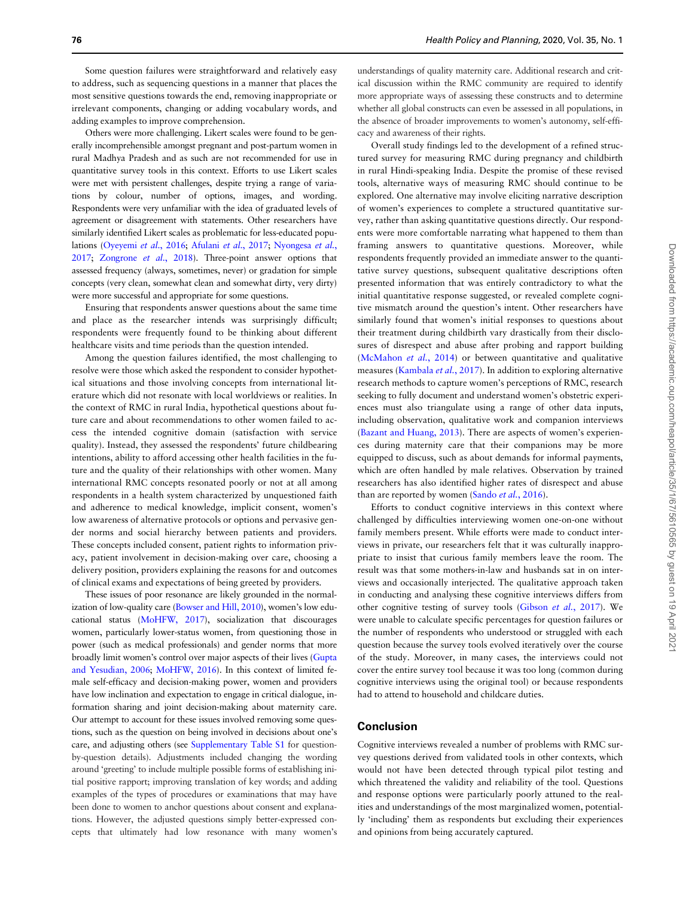Some question failures were straightforward and relatively easy to address, such as sequencing questions in a manner that places the most sensitive questions towards the end, removing inappropriate or irrelevant components, changing or adding vocabulary words, and adding examples to improve comprehension.

Others were more challenging. Likert scales were found to be generally incomprehensible amongst pregnant and post-partum women in rural Madhya Pradesh and as such are not recommended for use in quantitative survey tools in this context. Efforts to use Likert scales were met with persistent challenges, despite trying a range of variations by colour, number of options, images, and wording. Respondents were very unfamiliar with the idea of graduated levels of agreement or disagreement with statements. Other researchers have similarly identified Likert scales as problematic for less-educated populations [\(Oyeyemi](#page-10-0) et al., 2016; [Afulani](#page-10-0) et al., 2017; [Nyongesa](#page-10-0) et al., [2017](#page-10-0); [Zongrone](#page-10-0) et al., 2018). Three-point answer options that assessed frequency (always, sometimes, never) or gradation for simple concepts (very clean, somewhat clean and somewhat dirty, very dirty) were more successful and appropriate for some questions.

Ensuring that respondents answer questions about the same time and place as the researcher intends was surprisingly difficult; respondents were frequently found to be thinking about different healthcare visits and time periods than the question intended.

Among the question failures identified, the most challenging to resolve were those which asked the respondent to consider hypothetical situations and those involving concepts from international literature which did not resonate with local worldviews or realities. In the context of RMC in rural India, hypothetical questions about future care and about recommendations to other women failed to access the intended cognitive domain (satisfaction with service quality). Instead, they assessed the respondents' future childbearing intentions, ability to afford accessing other health facilities in the future and the quality of their relationships with other women. Many international RMC concepts resonated poorly or not at all among respondents in a health system characterized by unquestioned faith and adherence to medical knowledge, implicit consent, women's low awareness of alternative protocols or options and pervasive gender norms and social hierarchy between patients and providers. These concepts included consent, patient rights to information privacy, patient involvement in decision-making over care, choosing a delivery position, providers explaining the reasons for and outcomes of clinical exams and expectations of being greeted by providers.

These issues of poor resonance are likely grounded in the normalization of low-quality care ([Bowser and Hill, 2010\)](#page-10-0), women's low educational status [\(MoHFW, 2017](#page-10-0)), socialization that discourages women, particularly lower-status women, from questioning those in power (such as medical professionals) and gender norms that more broadly limit women's control over major aspects of their lives [\(Gupta](#page-10-0) [and Yesudian, 2006](#page-10-0); [MoHFW, 2016\)](#page-10-0). In this context of limited female self-efficacy and decision-making power, women and providers have low inclination and expectation to engage in critical dialogue, information sharing and joint decision-making about maternity care. Our attempt to account for these issues involved removing some questions, such as the question on being involved in decisions about one's care, and adjusting others (see [Supplementary Table S1](https://academic.oup.com/heapol/article-lookup/doi/10.1093/heapol/czz141#supplementary-data) for questionby-question details). Adjustments included changing the wording around 'greeting' to include multiple possible forms of establishing initial positive rapport; improving translation of key words; and adding examples of the types of procedures or examinations that may have been done to women to anchor questions about consent and explanations. However, the adjusted questions simply better-expressed concepts that ultimately had low resonance with many women's

understandings of quality maternity care. Additional research and critical discussion within the RMC community are required to identify more appropriate ways of assessing these constructs and to determine whether all global constructs can even be assessed in all populations, in the absence of broader improvements to women's autonomy, self-efficacy and awareness of their rights.

Overall study findings led to the development of a refined structured survey for measuring RMC during pregnancy and childbirth in rural Hindi-speaking India. Despite the promise of these revised tools, alternative ways of measuring RMC should continue to be explored. One alternative may involve eliciting narrative description of women's experiences to complete a structured quantitative survey, rather than asking quantitative questions directly. Our respondents were more comfortable narrating what happened to them than framing answers to quantitative questions. Moreover, while respondents frequently provided an immediate answer to the quantitative survey questions, subsequent qualitative descriptions often presented information that was entirely contradictory to what the initial quantitative response suggested, or revealed complete cognitive mismatch around the question's intent. Other researchers have similarly found that women's initial responses to questions about their treatment during childbirth vary drastically from their disclosures of disrespect and abuse after probing and rapport building ([McMahon](#page-10-0) et al., 2014) or between quantitative and qualitative measures [\(Kambala](#page-10-0) et al., 2017). In addition to exploring alternative research methods to capture women's perceptions of RMC, research seeking to fully document and understand women's obstetric experiences must also triangulate using a range of other data inputs, including observation, qualitative work and companion interviews ([Bazant and Huang, 2013\)](#page-10-0). There are aspects of women's experiences during maternity care that their companions may be more equipped to discuss, such as about demands for informal payments, which are often handled by male relatives. Observation by trained researchers has also identified higher rates of disrespect and abuse than are reported by women (Sando et al.[, 2016](#page-10-0)).

Efforts to conduct cognitive interviews in this context where challenged by difficulties interviewing women one-on-one without family members present. While efforts were made to conduct interviews in private, our researchers felt that it was culturally inappropriate to insist that curious family members leave the room. The result was that some mothers-in-law and husbands sat in on interviews and occasionally interjected. The qualitative approach taken in conducting and analysing these cognitive interviews differs from other cognitive testing of survey tools [\(Gibson](#page-10-0) et al., 2017). We were unable to calculate specific percentages for question failures or the number of respondents who understood or struggled with each question because the survey tools evolved iteratively over the course of the study. Moreover, in many cases, the interviews could not cover the entire survey tool because it was too long (common during cognitive interviews using the original tool) or because respondents had to attend to household and childcare duties.

# Conclusion

Cognitive interviews revealed a number of problems with RMC survey questions derived from validated tools in other contexts, which would not have been detected through typical pilot testing and which threatened the validity and reliability of the tool. Questions and response options were particularly poorly attuned to the realities and understandings of the most marginalized women, potentially 'including' them as respondents but excluding their experiences and opinions from being accurately captured.